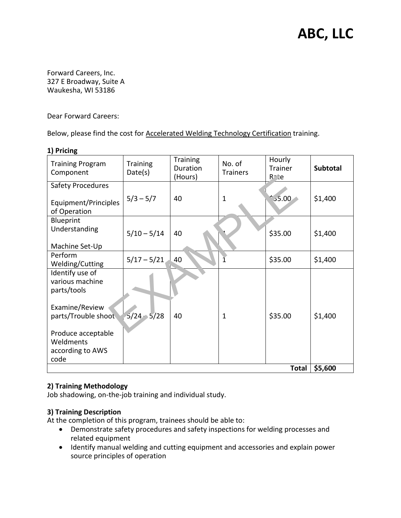# **ABC, LLC**

Forward Careers, Inc. 327 E Broadway, Suite A Waukesha, WI 53186

Dear Forward Careers:

Below, please find the cost for Accelerated Welding Technology Certification training.

| - , , , , , , , , , ,                                       |                            |                                        |                           |                                      |          |
|-------------------------------------------------------------|----------------------------|----------------------------------------|---------------------------|--------------------------------------|----------|
| <b>Training Program</b><br>Component                        | <b>Training</b><br>Date(s) | <b>Training</b><br>Duration<br>(Hours) | No. of<br><b>Trainers</b> | Hourly<br>Trainer<br>P <sub>te</sub> | Subtotal |
| <b>Safety Procedures</b><br>Equipment/Principles            | $5/3 - 5/7$                | 40                                     | $\mathbf 1$               | 35.00                                | \$1,400  |
| of Operation                                                |                            |                                        |                           |                                      |          |
| Blueprint<br>Understanding<br>Machine Set-Up                | $5/10 - 5/14$              | 40                                     |                           | \$35.00                              | \$1,400  |
| Perform<br>Welding/Cutting                                  | $5/17 - 5/21$              | 40                                     |                           | \$35.00                              | \$1,400  |
| Identify use of<br>various machine<br>parts/tools           |                            |                                        |                           |                                      |          |
| Examine/Review<br>parts/Trouble shoot                       | $5/24 - 5/28$              | 40                                     | $\mathbf{1}$              | \$35.00                              | \$1,400  |
| Produce acceptable<br>Weldments<br>according to AWS<br>code |                            |                                        |                           |                                      |          |
|                                                             |                            |                                        |                           | <b>Total</b>                         | \$5,600  |

#### **1) Pricing**

### **2) Training Methodology**

Job shadowing, on-the-job training and individual study.

#### **3) Training Description**

At the completion of this program, trainees should be able to:

- Demonstrate safety procedures and safety inspections for welding processes and related equipment
- Identify manual welding and cutting equipment and accessories and explain power source principles of operation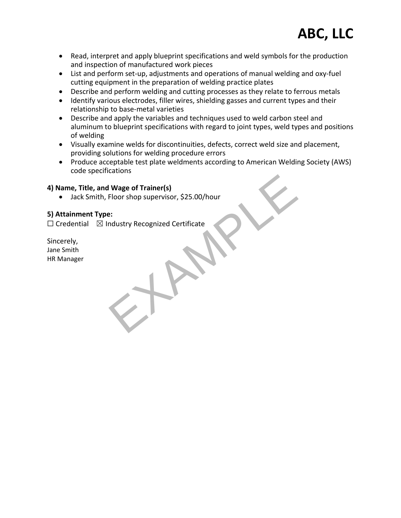- Read, interpret and apply blueprint specifications and weld symbols for the production and inspection of manufactured work pieces
- List and perform set-up, adjustments and operations of manual welding and oxy-fuel cutting equipment in the preparation of welding practice plates
- Describe and perform welding and cutting processes as they relate to ferrous metals
- Identify various electrodes, filler wires, shielding gasses and current types and their relationship to base-metal varieties
- Describe and apply the variables and techniques used to weld carbon steel and aluminum to blueprint specifications with regard to joint types, weld types and positions of welding
- Visually examine welds for discontinuities, defects, correct weld size and placement, providing solutions for welding procedure errors
- Produce acceptable test plate weldments according to American Welding Society (AWS) code specifications

#### **4) Name, Title, and Wage of Trainer(s)**

 Jack Smith, Floor shop supervisor, \$25.00/hour 4) Name, Title, and Wage of Trainer(s)<br>
● Jack Smith, Floor shop supervisor, \$25.00/hour<br>
5) Attainment Type:<br>
□ Credential 図 Industry Recognized Certificate<br>
Sincerely,<br>
HR Manager<br>
HR Manager

### **5) Attainment Type:**

 $\Box$  Credential  $\boxtimes$  Industry Recognized Certificate

Sincerely, Jane Smith